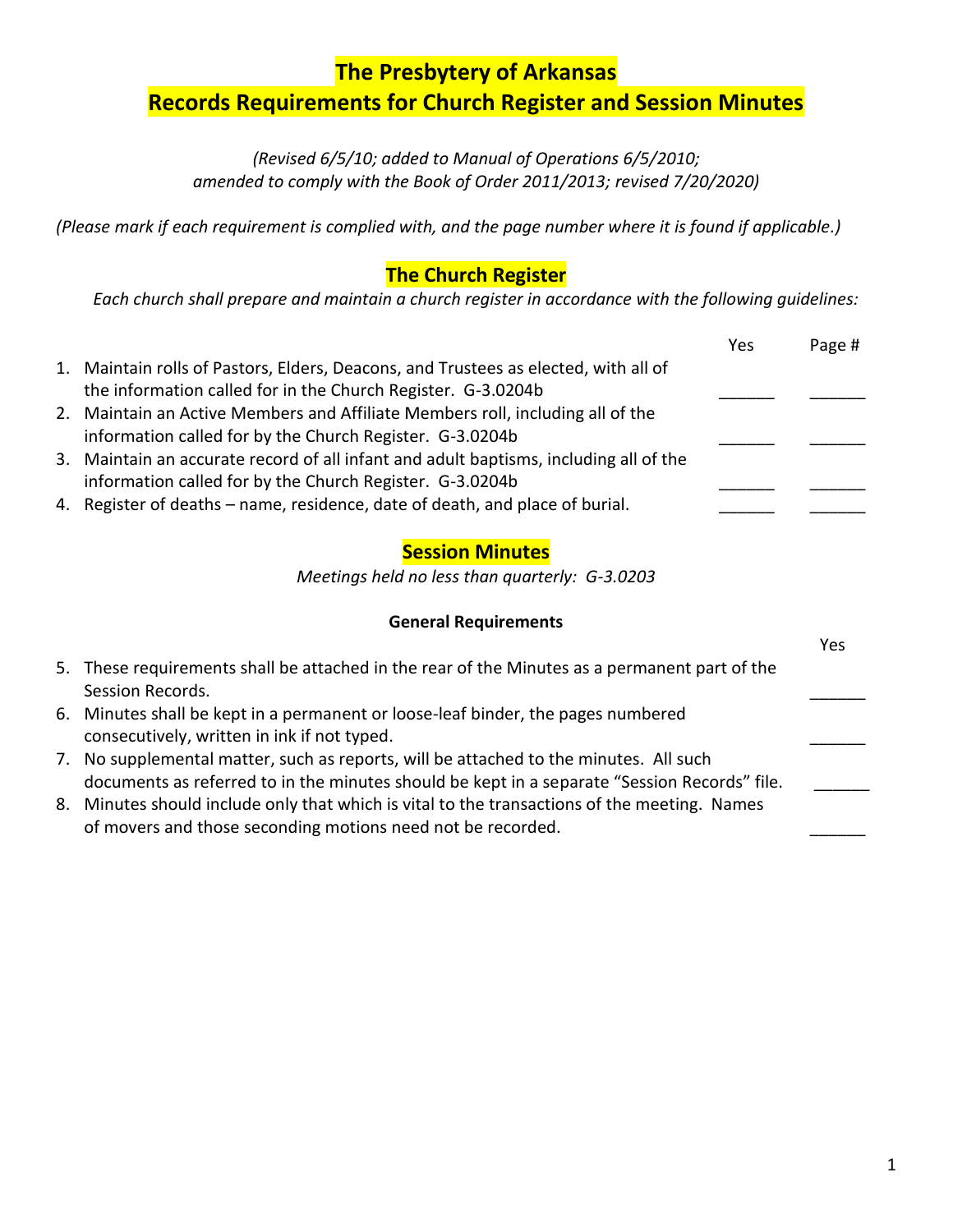### **The Presbytery of Arkansas**

# **Records Requirements for Church Register and Session Minutes**

*(Revised 6/5/10; added to Manual of Operations 6/5/2010; amended to comply with the Book of Order 2011/2013; revised 7/20/2020)*

*(Please mark if each requirement is complied with, and the page number where it is found if applicable.)*

### **The Church Register**

*Each church shall prepare and maintain a church register in accordance with the following guidelines:*

|                                                                                       | Yes | Page # |
|---------------------------------------------------------------------------------------|-----|--------|
| 1. Maintain rolls of Pastors, Elders, Deacons, and Trustees as elected, with all of   |     |        |
| the information called for in the Church Register. G-3.0204b                          |     |        |
| 2. Maintain an Active Members and Affiliate Members roll, including all of the        |     |        |
| information called for by the Church Register. G-3.0204b                              |     |        |
| 3. Maintain an accurate record of all infant and adult baptisms, including all of the |     |        |
| information called for by the Church Register. G-3.0204b                              |     |        |
| 4. Register of deaths – name, residence, date of death, and place of burial.          |     |        |
|                                                                                       |     |        |

#### **Session Minutes**

*Meetings held no less than quarterly: G-3.0203*

#### **General Requirements**

|    |                                                                                               | Yes |
|----|-----------------------------------------------------------------------------------------------|-----|
|    | 5. These requirements shall be attached in the rear of the Minutes as a permanent part of the |     |
|    | Session Records.                                                                              |     |
|    | 6. Minutes shall be kept in a permanent or loose-leaf binder, the pages numbered              |     |
|    | consecutively, written in ink if not typed.                                                   |     |
| 7. | No supplemental matter, such as reports, will be attached to the minutes. All such            |     |
|    | documents as referred to in the minutes should be kept in a separate "Session Records" file.  |     |
| 8. | Minutes should include only that which is vital to the transactions of the meeting. Names     |     |
|    | of movers and those seconding motions need not be recorded.                                   |     |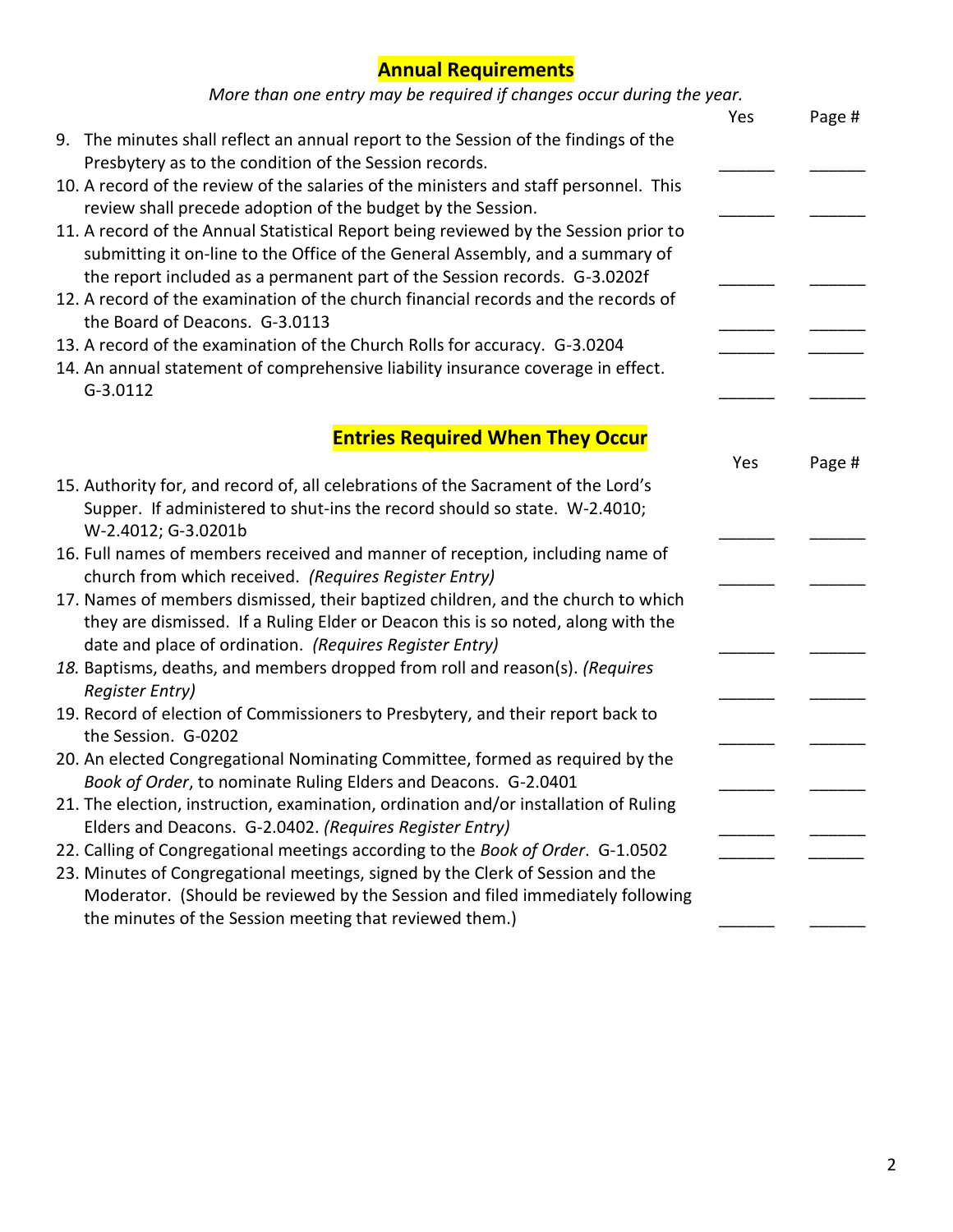# **Annual Requirements**

| More than one entry may be required if changes occur during the year. |  |  |
|-----------------------------------------------------------------------|--|--|
|-----------------------------------------------------------------------|--|--|

| wore than one entry may be regained if changes occur during the year.                 |     |        |
|---------------------------------------------------------------------------------------|-----|--------|
|                                                                                       | Yes | Page # |
| 9. The minutes shall reflect an annual report to the Session of the findings of the   |     |        |
| Presbytery as to the condition of the Session records.                                |     |        |
| 10. A record of the review of the salaries of the ministers and staff personnel. This |     |        |
| review shall precede adoption of the budget by the Session.                           |     |        |
| 11. A record of the Annual Statistical Report being reviewed by the Session prior to  |     |        |
| submitting it on-line to the Office of the General Assembly, and a summary of         |     |        |
| the report included as a permanent part of the Session records. G-3.0202f             |     |        |
| 12. A record of the examination of the church financial records and the records of    |     |        |
| the Board of Deacons. G-3.0113                                                        |     |        |
| 13. A record of the examination of the Church Rolls for accuracy. G-3.0204            |     |        |
| 14. An annual statement of comprehensive liability insurance coverage in effect.      |     |        |
| $G-3.0112$                                                                            |     |        |
|                                                                                       |     |        |
| <b>Entries Required When They Occur</b>                                               |     |        |
|                                                                                       | Yes | Page # |
| 15. Authority for, and record of, all celebrations of the Sacrament of the Lord's     |     |        |
| Supper. If administered to shut-ins the record should so state. W-2.4010;             |     |        |
| W-2.4012; G-3.0201b                                                                   |     |        |
| 16. Full names of members received and manner of reception, including name of         |     |        |
| church from which received. (Requires Register Entry)                                 |     |        |
| 17. Names of members dismissed, their baptized children, and the church to which      |     |        |
| they are dismissed. If a Ruling Elder or Deacon this is so noted, along with the      |     |        |
| date and place of ordination. (Requires Register Entry)                               |     |        |
| 18. Baptisms, deaths, and members dropped from roll and reason(s). (Requires          |     |        |
| <b>Register Entry)</b>                                                                |     |        |
| 19. Record of election of Commissioners to Presbytery, and their report back to       |     |        |
| the Session. G-0202                                                                   |     |        |
| 20. An elected Congregational Nominating Committee, formed as required by the         |     |        |
| Book of Order, to nominate Ruling Elders and Deacons. G-2.0401                        |     |        |
| 21. The election, instruction, examination, ordination and/or installation of Ruling  |     |        |
| Elders and Deacons. G-2.0402. (Requires Register Entry)                               |     |        |
| 22. Calling of Congregational meetings according to the Book of Order. G-1.0502       |     |        |
| 23. Minutes of Congregational meetings, signed by the Clerk of Session and the        |     |        |
| Moderator. (Should be reviewed by the Session and filed immediately following         |     |        |
| the minutes of the Session meeting that reviewed them.)                               |     |        |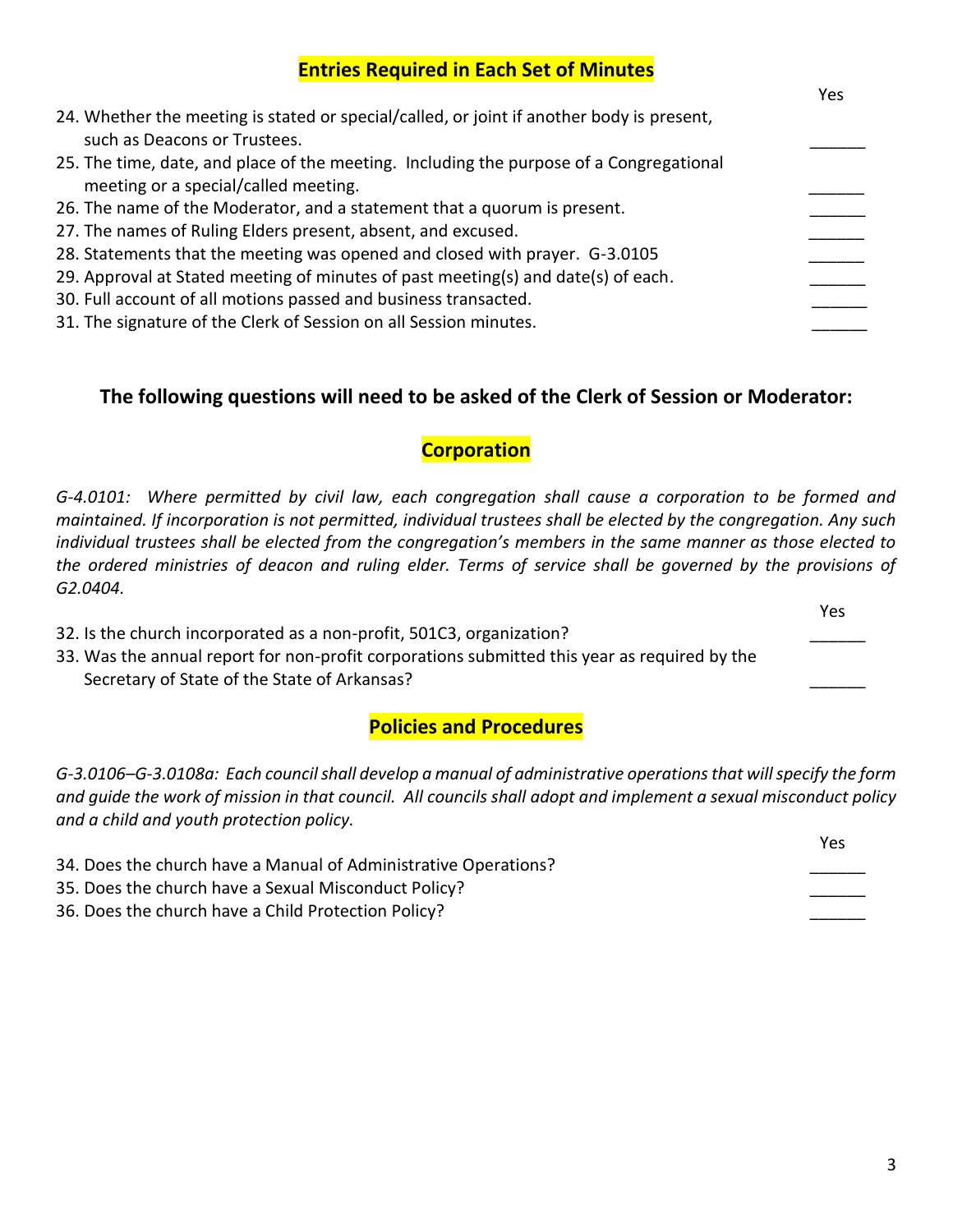|  |  | <b>Entries Required in Each Set of Minutes</b> |  |
|--|--|------------------------------------------------|--|
|--|--|------------------------------------------------|--|

|                                                                                                                                 | Yes |
|---------------------------------------------------------------------------------------------------------------------------------|-----|
| 24. Whether the meeting is stated or special/called, or joint if another body is present,<br>such as Deacons or Trustees.       |     |
|                                                                                                                                 |     |
| 25. The time, date, and place of the meeting. Including the purpose of a Congregational<br>meeting or a special/called meeting. |     |
| 26. The name of the Moderator, and a statement that a quorum is present.                                                        |     |
| 27. The names of Ruling Elders present, absent, and excused.                                                                    |     |
| 28. Statements that the meeting was opened and closed with prayer. G-3.0105                                                     |     |
| 29. Approval at Stated meeting of minutes of past meeting(s) and date(s) of each.                                               |     |
| 30. Full account of all motions passed and business transacted.                                                                 |     |
| 31. The signature of the Clerk of Session on all Session minutes.                                                               |     |

#### **The following questions will need to be asked of the Clerk of Session or Moderator:**

### **Corporation**

*G-4.0101: Where permitted by civil law, each congregation shall cause a corporation to be formed and maintained. If incorporation is not permitted, individual trustees shall be elected by the congregation. Any such individual trustees shall be elected from the congregation's members in the same manner as those elected to the ordered ministries of deacon and ruling elder. Terms of service shall be governed by the provisions of G2.0404.*

*The Company of the Company of the Company of the Company of the Company of the Company of the Company of the Company of the Company of the Company of the Company of the Company of the Company of the Company of the Compan* 

- 32. Is the church incorporated as a non-profit, 501C3, organization?
- 33. Was the annual report for non-profit corporations submitted this year as required by the Secretary of State of the State of Arkansas?

### **Policies and Procedures**

*G-3.0106–G-3.0108a: Each council shall develop a manual of administrative operations that will specify the form and guide the work of mission in that council. All councils shall adopt and implement a sexual misconduct policy and a child and youth protection policy.*

|                                                                 | Yes |
|-----------------------------------------------------------------|-----|
| 34. Does the church have a Manual of Administrative Operations? |     |
| 35. Does the church have a Sexual Misconduct Policy?            |     |
| 36. Does the church have a Child Protection Policy?             |     |